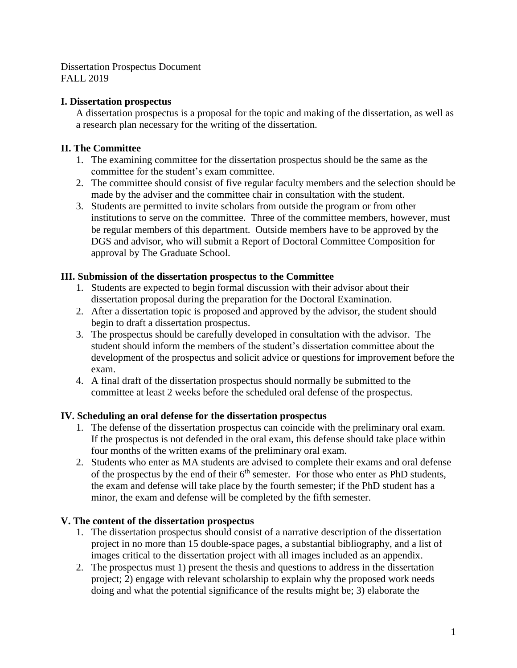Dissertation Prospectus Document FALL 2019

#### **I. Dissertation prospectus**

A dissertation prospectus is a proposal for the topic and making of the dissertation, as well as a research plan necessary for the writing of the dissertation.

### **II. The Committee**

- 1. The examining committee for the dissertation prospectus should be the same as the committee for the student's exam committee.
- 2. The committee should consist of five regular faculty members and the selection should be made by the adviser and the committee chair in consultation with the student.
- 3. Students are permitted to invite scholars from outside the program or from other institutions to serve on the committee. Three of the committee members, however, must be regular members of this department. Outside members have to be approved by the DGS and advisor, who will submit a Report of Doctoral Committee Composition for approval by The Graduate School.

#### **III. Submission of the dissertation prospectus to the Committee**

- 1. Students are expected to begin formal discussion with their advisor about their dissertation proposal during the preparation for the Doctoral Examination.
- 2. After a dissertation topic is proposed and approved by the advisor, the student should begin to draft a dissertation prospectus.
- 3. The prospectus should be carefully developed in consultation with the advisor. The student should inform the members of the student's dissertation committee about the development of the prospectus and solicit advice or questions for improvement before the exam.
- 4. A final draft of the dissertation prospectus should normally be submitted to the committee at least 2 weeks before the scheduled oral defense of the prospectus.

#### **IV. Scheduling an oral defense for the dissertation prospectus**

- 1. The defense of the dissertation prospectus can coincide with the preliminary oral exam. If the prospectus is not defended in the oral exam, this defense should take place within four months of the written exams of the preliminary oral exam.
- 2. Students who enter as MA students are advised to complete their exams and oral defense of the prospectus by the end of their  $6<sup>th</sup>$  semester. For those who enter as PhD students, the exam and defense will take place by the fourth semester; if the PhD student has a minor, the exam and defense will be completed by the fifth semester.

#### **V. The content of the dissertation prospectus**

- 1. The dissertation prospectus should consist of a narrative description of the dissertation project in no more than 15 double-space pages, a substantial bibliography, and a list of images critical to the dissertation project with all images included as an appendix.
- 2. The prospectus must 1) present the thesis and questions to address in the dissertation project; 2) engage with relevant scholarship to explain why the proposed work needs doing and what the potential significance of the results might be; 3) elaborate the